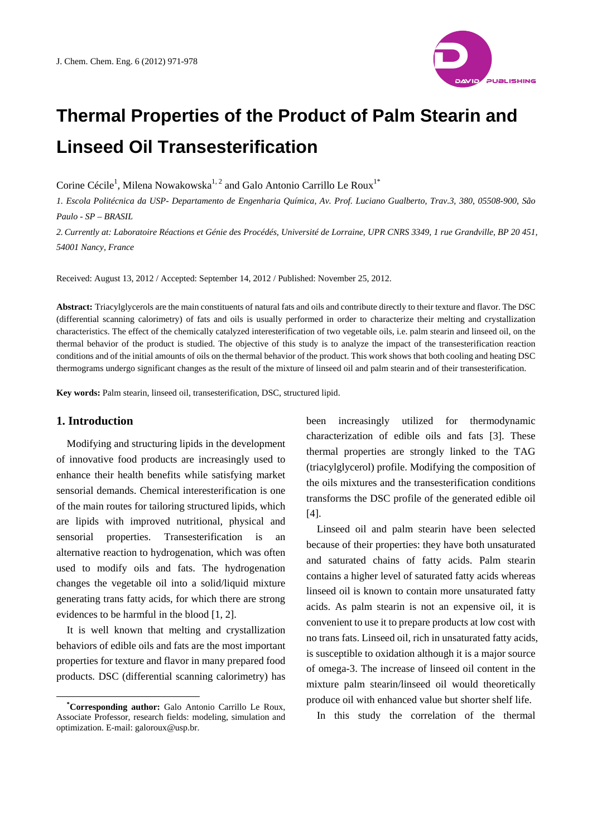# **Thermal Properties of the Product of Palm Stearin and Linseed Oil Transesterification**

Corine Cécile<sup>1</sup>, Milena Nowakowska<sup>1, 2</sup> and Galo Antonio Carrillo Le Roux<sup>1\*</sup>

*1. Escola Politécnica da USP- Departamento de Engenharia Química, Av. Prof. Luciano Gualberto, Trav.3, 380, 05508-900, São Paulo - SP – BRASIL* 

*2. Currently at: Laboratoire Réactions et Génie des Procédés, Université de Lorraine, UPR CNRS 3349, 1 rue Grandville, BP 20 451, 54001 Nancy, France* 

Received: August 13, 2012 / Accepted: September 14, 2012 / Published: November 25, 2012.

**Abstract:** Triacylglycerols are the main constituents of natural fats and oils and contribute directly to their texture and flavor. The DSC (differential scanning calorimetry) of fats and oils is usually performed in order to characterize their melting and crystallization characteristics. The effect of the chemically catalyzed interesterification of two vegetable oils, i.e. palm stearin and linseed oil, on the thermal behavior of the product is studied. The objective of this study is to analyze the impact of the transesterification reaction conditions and of the initial amounts of oils on the thermal behavior of the product. This work shows that both cooling and heating DSC thermograms undergo significant changes as the result of the mixture of linseed oil and palm stearin and of their transesterification.

**Key words:** Palm stearin, linseed oil, transesterification, DSC, structured lipid.

## **1. Introduction**

 $\overline{a}$ 

Modifying and structuring lipids in the development of innovative food products are increasingly used to enhance their health benefits while satisfying market sensorial demands. Chemical interesterification is one of the main routes for tailoring structured lipids, which are lipids with improved nutritional, physical and sensorial properties. Transesterification is an alternative reaction to hydrogenation, which was often used to modify oils and fats. The hydrogenation changes the vegetable oil into a solid/liquid mixture generating trans fatty acids, for which there are strong evidences to be harmful in the blood [1, 2].

It is well known that melting and crystallization behaviors of edible oils and fats are the most important properties for texture and flavor in many prepared food products. DSC (differential scanning calorimetry) has been increasingly utilized for thermodynamic characterization of edible oils and fats [3]. These thermal properties are strongly linked to the TAG (triacylglycerol) profile. Modifying the composition of the oils mixtures and the transesterification conditions transforms the DSC profile of the generated edible oil [4].

Linseed oil and palm stearin have been selected because of their properties: they have both unsaturated and saturated chains of fatty acids. Palm stearin contains a higher level of saturated fatty acids whereas linseed oil is known to contain more unsaturated fatty acids. As palm stearin is not an expensive oil, it is convenient to use it to prepare products at low cost with no trans fats. Linseed oil, rich in unsaturated fatty acids, is susceptible to oxidation although it is a major source of omega-3. The increase of linseed oil content in the mixture palm stearin/linseed oil would theoretically produce oil with enhanced value but shorter shelf life.

In this study the correlation of the thermal



**<sup>\*</sup> Corresponding author:** Galo Antonio Carrillo Le Roux, Associate Professor, research fields: modeling, simulation and optimization. E-mail: galoroux@usp.br.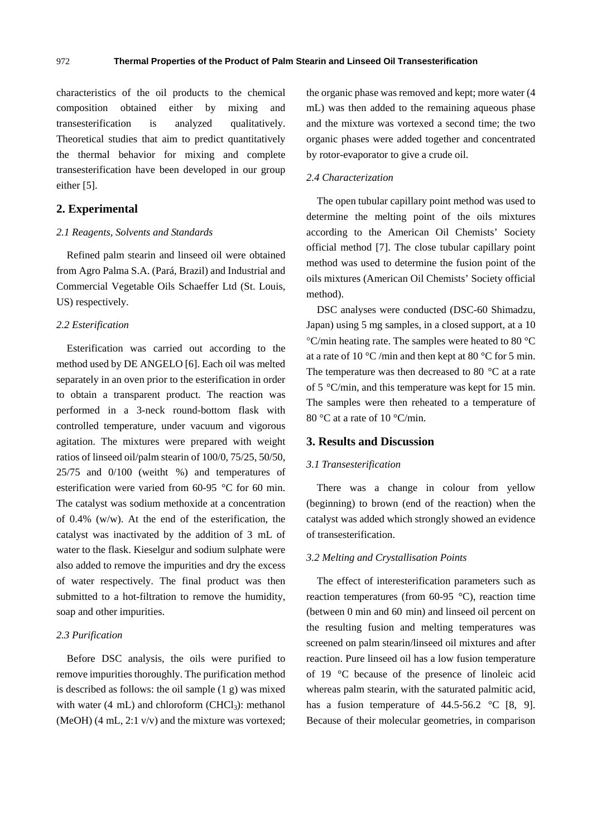characteristics of the oil products to the chemical composition obtained either by mixing and transesterification is analyzed qualitatively. Theoretical studies that aim to predict quantitatively the thermal behavior for mixing and complete transesterification have been developed in our group either [5].

## **2. Experimental**

#### *2.1 Reagents, Solvents and Standards*

Refined palm stearin and linseed oil were obtained from Agro Palma S.A. (Pará, Brazil) and Industrial and Commercial Vegetable Oils Schaeffer Ltd (St. Louis, US) respectively.

## *2.2 Esterification*

Esterification was carried out according to the method used by DE ANGELO [6]. Each oil was melted separately in an oven prior to the esterification in order to obtain a transparent product. The reaction was performed in a 3-neck round-bottom flask with controlled temperature, under vacuum and vigorous agitation. The mixtures were prepared with weight ratios of linseed oil/palm stearin of 100/0, 75/25, 50/50, 25/75 and 0/100 (weitht %) and temperatures of esterification were varied from 60-95 °C for 60 min. The catalyst was sodium methoxide at a concentration of 0.4% (w/w). At the end of the esterification, the catalyst was inactivated by the addition of 3 mL of water to the flask. Kieselgur and sodium sulphate were also added to remove the impurities and dry the excess of water respectively. The final product was then submitted to a hot-filtration to remove the humidity, soap and other impurities.

## *2.3 Purification*

Before DSC analysis, the oils were purified to remove impurities thoroughly. The purification method is described as follows: the oil sample (1 g) was mixed with water  $(4 \text{ mL})$  and chloroform  $(CHCl<sub>3</sub>)$ : methanol (MeOH) (4 mL, 2:1 v/v) and the mixture was vortexed; the organic phase was removed and kept; more water (4 mL) was then added to the remaining aqueous phase and the mixture was vortexed a second time; the two organic phases were added together and concentrated by rotor-evaporator to give a crude oil.

#### *2.4 Characterization*

The open tubular capillary point method was used to determine the melting point of the oils mixtures according to the American Oil Chemists' Society official method [7]. The close tubular capillary point method was used to determine the fusion point of the oils mixtures (American Oil Chemists' Society official method).

DSC analyses were conducted (DSC-60 Shimadzu, Japan) using 5 mg samples, in a closed support, at a 10 C/min heating rate. The samples were heated to 80 °C at a rate of 10 °C /min and then kept at 80 °C for 5 min. The temperature was then decreased to 80 °C at a rate of 5 °C/min, and this temperature was kept for 15 min. The samples were then reheated to a temperature of 80 °C at a rate of 10 °C/min.

## **3. Results and Discussion**

## *3.1 Transesterification*

There was a change in colour from yellow (beginning) to brown (end of the reaction) when the catalyst was added which strongly showed an evidence of transesterification.

#### *3.2 Melting and Crystallisation Points*

The effect of interesterification parameters such as reaction temperatures (from  $60-95$  °C), reaction time (between 0 min and 60 min) and linseed oil percent on the resulting fusion and melting temperatures was screened on palm stearin/linseed oil mixtures and after reaction. Pure linseed oil has a low fusion temperature of 19 °C because of the presence of linoleic acid whereas palm stearin, with the saturated palmitic acid, has a fusion temperature of 44.5-56.2 °C [8, 9]. Because of their molecular geometries, in comparison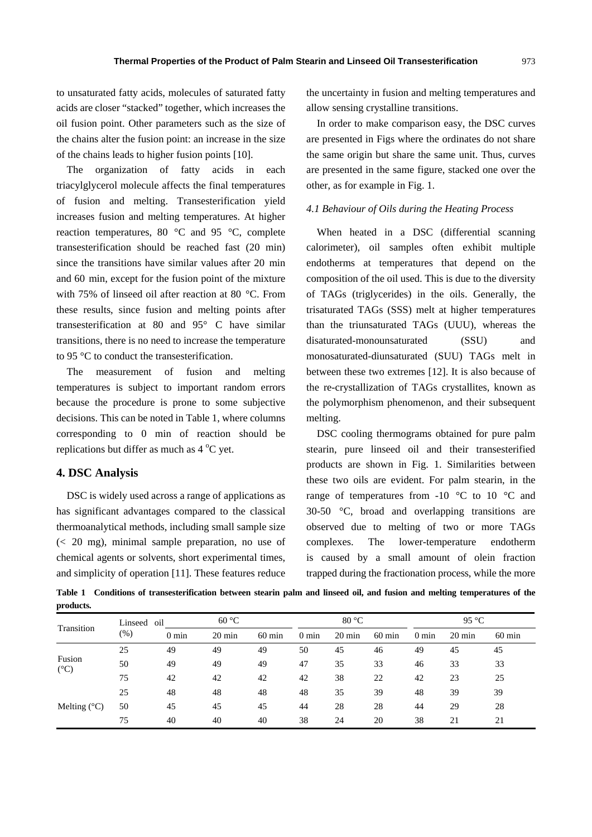to unsaturated fatty acids, molecules of saturated fatty acids are closer "stacked" together, which increases the oil fusion point. Other parameters such as the size of the chains alter the fusion point: an increase in the size of the chains leads to higher fusion points [10].

The organization of fatty acids in each triacylglycerol molecule affects the final temperatures of fusion and melting. Transesterification yield increases fusion and melting temperatures. At higher reaction temperatures, 80 °C and 95 °C, complete transesterification should be reached fast (20 min) since the transitions have similar values after 20 min and 60 min, except for the fusion point of the mixture with 75% of linseed oil after reaction at 80 °C. From these results, since fusion and melting points after transesterification at 80 and 95° C have similar transitions, there is no need to increase the temperature to 95 °C to conduct the transesterification.

The measurement of fusion and melting temperatures is subject to important random errors because the procedure is prone to some subjective decisions. This can be noted in Table 1, where columns corresponding to 0 min of reaction should be replications but differ as much as  $4^{\circ}$ C yet.

## **4. DSC Analysis**

DSC is widely used across a range of applications as has significant advantages compared to the classical thermoanalytical methods, including small sample size (< 20 mg), minimal sample preparation, no use of chemical agents or solvents, short experimental times, and simplicity of operation [11]. These features reduce the uncertainty in fusion and melting temperatures and allow sensing crystalline transitions.

In order to make comparison easy, the DSC curves are presented in Figs where the ordinates do not share the same origin but share the same unit. Thus, curves are presented in the same figure, stacked one over the other, as for example in Fig. 1.

### *4.1 Behaviour of Oils during the Heating Process*

When heated in a DSC (differential scanning calorimeter), oil samples often exhibit multiple endotherms at temperatures that depend on the composition of the oil used. This is due to the diversity of TAGs (triglycerides) in the oils. Generally, the trisaturated TAGs (SSS) melt at higher temperatures than the triunsaturated TAGs (UUU), whereas the disaturated-monounsaturated (SSU) and monosaturated-diunsaturated (SUU) TAGs melt in between these two extremes [12]. It is also because of the re-crystallization of TAGs crystallites, known as the polymorphism phenomenon, and their subsequent melting.

DSC cooling thermograms obtained for pure palm stearin, pure linseed oil and their transesterified products are shown in Fig. 1. Similarities between these two oils are evident. For palm stearin, in the range of temperatures from -10 °C to 10 °C and 30-50 °C, broad and overlapping transitions are observed due to melting of two or more TAGs complexes. The lower-temperature endotherm is caused by a small amount of olein fraction trapped during the fractionation process, while the more

**Table 1 Conditions of transesterification between stearin palm and linseed oil, and fusion and melting temperatures of the products.** 

| Transition              | Linseed oil |                 | 60 °C            |                  | 80 °C           |                  |                  | 95 $\degree$ C  |                  |                  |
|-------------------------|-------------|-----------------|------------------|------------------|-----------------|------------------|------------------|-----------------|------------------|------------------|
|                         | $(\%)$      | $0 \text{ min}$ | $20 \text{ min}$ | $60 \text{ min}$ | $0 \text{ min}$ | $20 \text{ min}$ | $60 \text{ min}$ | $0 \text{ min}$ | $20 \text{ min}$ | $60 \text{ min}$ |
| Fusion<br>$(^{\circ}C)$ | 25          | 49              | 49               | 49               | 50              | 45               | 46               | 49              | 45               | 45               |
|                         | 50          | 49              | 49               | 49               | 47              | 35               | 33               | 46              | 33               | 33               |
|                         | 75          | 42              | 42               | 42               | 42              | 38               | 22               | 42              | 23               | 25               |
| Melting $(^{\circ}C)$   | 25          | 48              | 48               | 48               | 48              | 35               | 39               | 48              | 39               | 39               |
|                         | 50          | 45              | 45               | 45               | 44              | 28               | 28               | 44              | 29               | 28               |
|                         | 75          | 40              | 40               | 40               | 38              | 24               | 20               | 38              | 21               | 21               |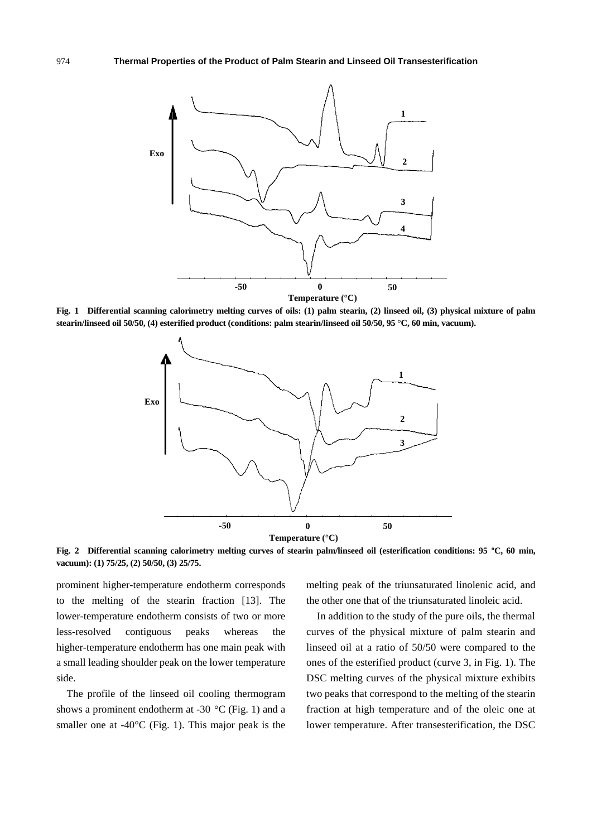

**Fig. 1 Differential scanning calorimetry melting curves of oils: (1) palm stearin, (2) linseed oil, (3) physical mixture of palm stearin/linseed oil 50/50, (4) esterified product (conditions: palm stearin/linseed oil 50/50, 95 °C, 60 min, vacuum).** 



**Fig. 2 Differential scanning calorimetry melting curves of stearin palm/linseed oil (esterification conditions: 95 ºC, 60 min, vacuum): (1) 75/25, (2) 50/50, (3) 25/75.** 

prominent higher-temperature endotherm corresponds to the melting of the stearin fraction [13]. The lower-temperature endotherm consists of two or more less-resolved contiguous peaks whereas the higher-temperature endotherm has one main peak with a small leading shoulder peak on the lower temperature side.

The profile of the linseed oil cooling thermogram shows a prominent endotherm at -30  $^{\circ}$ C (Fig. 1) and a smaller one at -40°C (Fig. 1). This major peak is the melting peak of the triunsaturated linolenic acid, and the other one that of the triunsaturated linoleic acid.

In addition to the study of the pure oils, the thermal curves of the physical mixture of palm stearin and linseed oil at a ratio of 50/50 were compared to the ones of the esterified product (curve 3, in Fig. 1). The DSC melting curves of the physical mixture exhibits two peaks that correspond to the melting of the stearin fraction at high temperature and of the oleic one at lower temperature. After transesterification, the DSC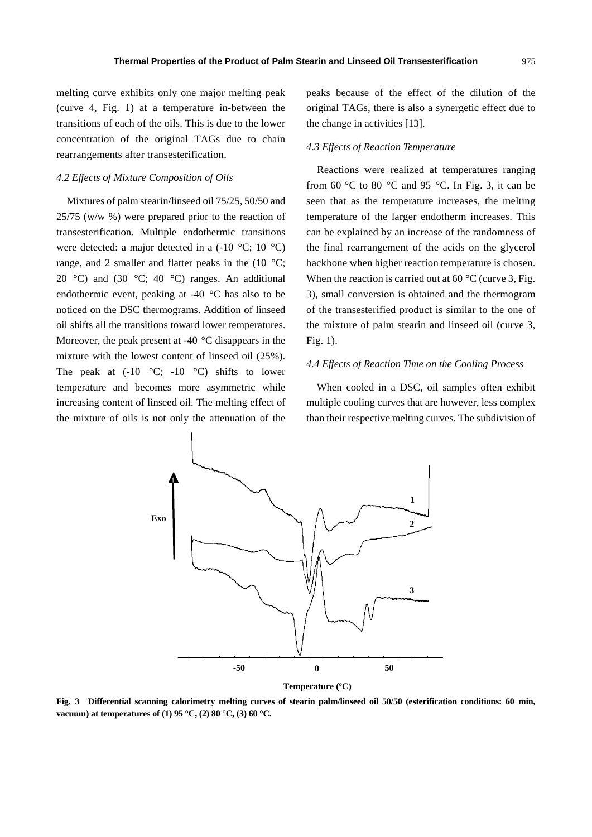melting curve exhibits only one major melting peak (curve 4, Fig. 1) at a temperature in-between the transitions of each of the oils. This is due to the lower concentration of the original TAGs due to chain rearrangements after transesterification.

#### *4.2 Effects of Mixture Composition of Oils*

Mixtures of palm stearin/linseed oil 75/25, 50/50 and 25/75 (w/w %) were prepared prior to the reaction of transesterification. Multiple endothermic transitions were detected: a major detected in a (-10 °C; 10 °C) range, and 2 smaller and flatter peaks in the  $(10 \degree C;$ 20 °C) and (30 °C; 40 °C) ranges. An additional endothermic event, peaking at -40 °C has also to be noticed on the DSC thermograms. Addition of linseed oil shifts all the transitions toward lower temperatures. Moreover, the peak present at -40 °C disappears in the mixture with the lowest content of linseed oil (25%). The peak at  $(-10 \degree C; -10 \degree C)$  shifts to lower temperature and becomes more asymmetric while increasing content of linseed oil. The melting effect of the mixture of oils is not only the attenuation of the

peaks because of the effect of the dilution of the original TAGs, there is also a synergetic effect due to the change in activities [13].

#### *4.3 Effects of Reaction Temperature*

Reactions were realized at temperatures ranging from 60 °C to 80 °C and 95 °C. In Fig. 3, it can be seen that as the temperature increases, the melting temperature of the larger endotherm increases. This can be explained by an increase of the randomness of the final rearrangement of the acids on the glycerol backbone when higher reaction temperature is chosen. When the reaction is carried out at  $60^{\circ}$ C (curve 3, Fig. 3), small conversion is obtained and the thermogram of the transesterified product is similar to the one of the mixture of palm stearin and linseed oil (curve 3, Fig. 1).

## *4.4 Effects of Reaction Time on the Cooling Process*

When cooled in a DSC, oil samples often exhibit multiple cooling curves that are however, less complex than their respective melting curves. The subdivision of



**Fig. 3 Differential scanning calorimetry melting curves of stearin palm/linseed oil 50/50 (esterification conditions: 60 min, vacuum) at temperatures of (1) 95 °C, (2) 80 °C, (3) 60 °C.**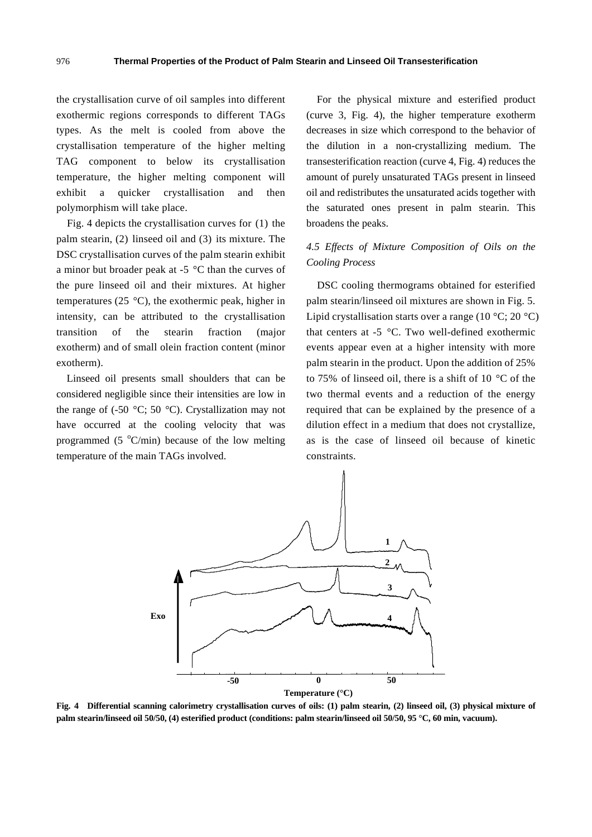the crystallisation curve of oil samples into different exothermic regions corresponds to different TAGs types. As the melt is cooled from above the crystallisation temperature of the higher melting TAG component to below its crystallisation temperature, the higher melting component will exhibit a quicker crystallisation and then polymorphism will take place.

Fig. 4 depicts the crystallisation curves for (1) the palm stearin, (2) linseed oil and (3) its mixture. The DSC crystallisation curves of the palm stearin exhibit a minor but broader peak at  $-5$  °C than the curves of the pure linseed oil and their mixtures. At higher temperatures (25 °C), the exothermic peak, higher in intensity, can be attributed to the crystallisation transition of the stearin fraction (major exotherm) and of small olein fraction content (minor exotherm).

Linseed oil presents small shoulders that can be considered negligible since their intensities are low in the range of  $(-50 \degree C; 50 \degree C)$ . Crystallization may not have occurred at the cooling velocity that was programmed (5 $\degree$ C/min) because of the low melting temperature of the main TAGs involved.

For the physical mixture and esterified product (curve 3, Fig. 4), the higher temperature exotherm decreases in size which correspond to the behavior of the dilution in a non-crystallizing medium. The transesterification reaction (curve 4, Fig. 4) reduces the amount of purely unsaturated TAGs present in linseed oil and redistributes the unsaturated acids together with the saturated ones present in palm stearin. This broadens the peaks.

# *4.5 Effects of Mixture Composition of Oils on the Cooling Process*

DSC cooling thermograms obtained for esterified palm stearin/linseed oil mixtures are shown in Fig. 5. Lipid crystallisation starts over a range  $(10 \degree C; 20 \degree C)$ that centers at -5 °C. Two well-defined exothermic events appear even at a higher intensity with more palm stearin in the product. Upon the addition of 25% to 75% of linseed oil, there is a shift of 10 °C of the two thermal events and a reduction of the energy required that can be explained by the presence of a dilution effect in a medium that does not crystallize, as is the case of linseed oil because of kinetic constraints.



**Fig. 4 Differential scanning calorimetry crystallisation curves of oils: (1) palm stearin, (2) linseed oil, (3) physical mixture of palm stearin/linseed oil 50/50, (4) esterified product (conditions: palm stearin/linseed oil 50/50, 95 °C, 60 min, vacuum).**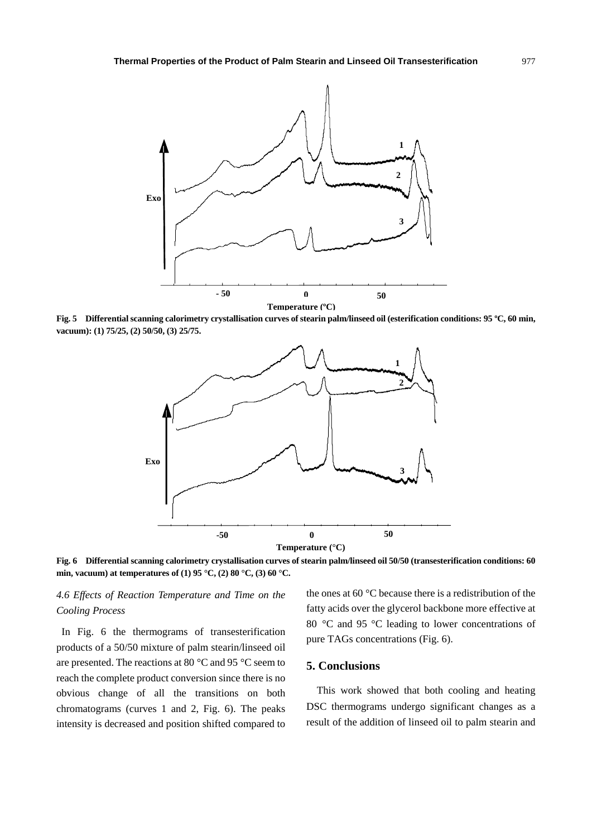

**Fig. 5 Differential scanning calorimetry crystallisation curves of stearin palm/linseed oil (esterification conditions: 95 ºC, 60 min, vacuum): (1) 75/25, (2) 50/50, (3) 25/75.** 



**Fig. 6 Differential scanning calorimetry crystallisation curves of stearin palm/linseed oil 50/50 (transesterification conditions: 60 min, vacuum) at temperatures of (1) 95 °C, (2) 80 °C, (3) 60 °C.** 

# *4.6 Effects of Reaction Temperature and Time on the Cooling Process*

In Fig. 6 the thermograms of transesterification products of a 50/50 mixture of palm stearin/linseed oil are presented. The reactions at 80 °C and 95 °C seem to reach the complete product conversion since there is no obvious change of all the transitions on both chromatograms (curves 1 and 2, Fig. 6). The peaks intensity is decreased and position shifted compared to the ones at 60 °C because there is a redistribution of the fatty acids over the glycerol backbone more effective at 80 °C and 95 °C leading to lower concentrations of pure TAGs concentrations (Fig. 6).

# **5. Conclusions**

This work showed that both cooling and heating DSC thermograms undergo significant changes as a result of the addition of linseed oil to palm stearin and